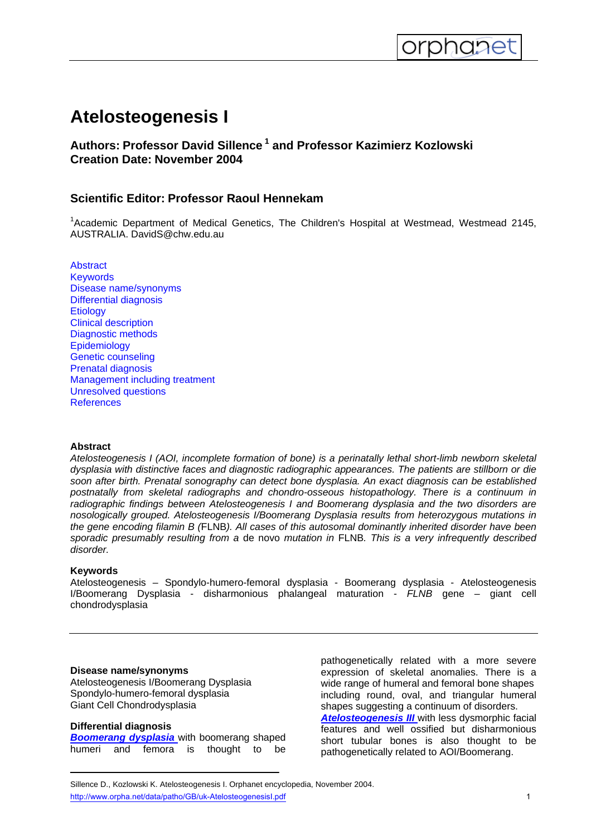# **Atelosteogenesis I**

<span id="page-0-0"></span>

# **Authors: Professor David Sillence 1 and Professor Kazimierz Kozlowski Creation Date: November 2004**

# **Scientific Editor: Professor Raoul Hennekam**

<sup>1</sup>Academic Department of Medical Genetics, The Children's Hospital at Westmead, Westmead 2145, AUSTRALIA. DavidS@chw.edu.au

**[Abstract](#page-0-0) [Keywords](#page-0-0)** [Disease name/synonyms](#page-0-0) [Differential diagnosis](#page-0-0) **[Etiology](#page-1-0)** [Clinical description](#page-1-0) [Diagnostic methods](#page-1-0) **[Epidemiology](#page-1-0)** [Genetic counseling](#page-1-0) [Prenatal diagnosis](#page-1-0) [Management including treatment](#page-1-0) [Unresolved questions](#page-1-0) **[References](#page-1-0)** 

### **Abstract**

*Atelosteogenesis I (AOI, incomplete formation of bone) is a perinatally lethal short-limb newborn skeletal dysplasia with distinctive faces and diagnostic radiographic appearances. The patients are stillborn or die soon after birth. Prenatal sonography can detect bone dysplasia. An exact diagnosis can be established postnatally from skeletal radiographs and chondro-osseous histopathology. There is a continuum in radiographic findings between Atelosteogenesis I and Boomerang dysplasia and the two disorders are nosologically grouped. Atelosteogenesis I/Boomerang Dysplasia results from heterozygous mutations in the gene encoding filamin B (*FLNB*). All cases of this autosomal dominantly inherited disorder have been sporadic presumably resulting from a* de novo *mutation in* FLNB*. This is a very infrequently described disorder.* 

### **Keywords**

Atelosteogenesis – Spondylo-humero-femoral dysplasia - Boomerang dysplasia - Atelosteogenesis I/Boomerang Dysplasia - disharmonious phalangeal maturation - *FLNB* gene – giant cell chondrodysplasia

### **Disease name/synonyms**

Atelosteogenesis I/Boomerang Dysplasia Spondylo-humero-femoral dysplasia Giant Cell Chondrodysplasia

### **Differential diagnosis**

*[Boomerang dysplasia](http://www.orpha.net//consor/cgi-bin/OC_Exp.php?Lng=GB&Expert=1263)* with boomerang shaped humeri and femora is thought to be pathogenetically related with a more severe expression of skeletal anomalies. There is a wide range of humeral and femoral bone shapes including round, oval, and triangular humeral shapes suggesting a continuum of disorders. *[Atelosteogenesis III](http://www.orpha.net/data/patho/GB/uk-AtelosteogenesisIII.pdf)* with less dysmorphic facial features and well ossified but disharmonious short tubular bones is also thought to be pathogenetically related to AOI/Boomerang.

Sillence D., Kozlowski K. Atelosteogenesis I. Orphanet encyclopedia, November 2004. http://www.orpha.net/data/patho/GB/uk-Atelosteogenesisl.pdf 1